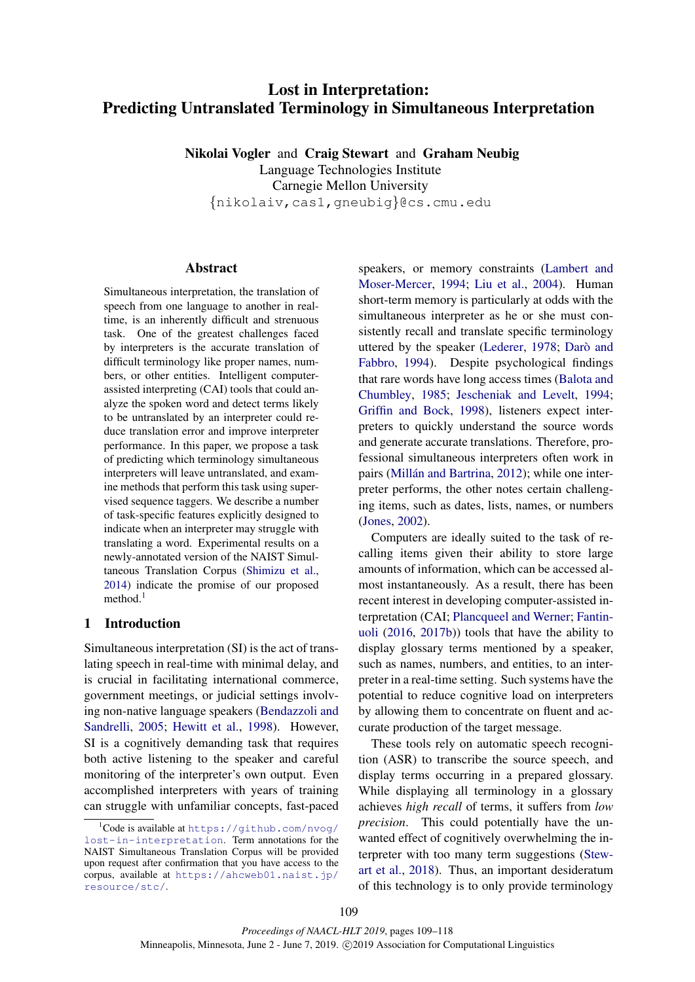# Lost in Interpretation: Predicting Untranslated Terminology in Simultaneous Interpretation

Nikolai Vogler and Craig Stewart and Graham Neubig Language Technologies Institute Carnegie Mellon University {nikolaiv,cas1,gneubig}@cs.cmu.edu

## Abstract

Simultaneous interpretation, the translation of speech from one language to another in realtime, is an inherently difficult and strenuous task. One of the greatest challenges faced by interpreters is the accurate translation of difficult terminology like proper names, numbers, or other entities. Intelligent computerassisted interpreting (CAI) tools that could analyze the spoken word and detect terms likely to be untranslated by an interpreter could reduce translation error and improve interpreter performance. In this paper, we propose a task of predicting which terminology simultaneous interpreters will leave untranslated, and examine methods that perform this task using supervised sequence taggers. We describe a number of task-specific features explicitly designed to indicate when an interpreter may struggle with translating a word. Experimental results on a newly-annotated version of the NAIST Simultaneous Translation Corpus [\(Shimizu et al.,](#page-9-0) [2014\)](#page-9-0) indicate the promise of our proposed method. $<sup>1</sup>$  $<sup>1</sup>$  $<sup>1</sup>$ </sup>

# <span id="page-0-1"></span>1 Introduction

Simultaneous interpretation (SI) is the act of translating speech in real-time with minimal delay, and is crucial in facilitating international commerce, government meetings, or judicial settings involving non-native language speakers [\(Bendazzoli and](#page-8-0) [Sandrelli,](#page-8-0) [2005;](#page-8-0) [Hewitt et al.,](#page-8-1) [1998\)](#page-8-1). However, SI is a cognitively demanding task that requires both active listening to the speaker and careful monitoring of the interpreter's own output. Even accomplished interpreters with years of training can struggle with unfamiliar concepts, fast-paced

speakers, or memory constraints [\(Lambert and](#page-8-2) [Moser-Mercer,](#page-8-2) [1994;](#page-8-2) [Liu et al.,](#page-8-3) [2004\)](#page-8-3). Human short-term memory is particularly at odds with the simultaneous interpreter as he or she must consistently recall and translate specific terminology uttered by the speaker [\(Lederer,](#page-8-4) [1978;](#page-8-4) Darò and [Fabbro,](#page-8-5) [1994\)](#page-8-5). Despite psychological findings that rare words have long access times [\(Balota and](#page-7-0) [Chumbley,](#page-7-0) [1985;](#page-7-0) [Jescheniak and Levelt,](#page-8-6) [1994;](#page-8-6) [Griffin and Bock,](#page-8-7) [1998\)](#page-8-7), listeners expect interpreters to quickly understand the source words and generate accurate translations. Therefore, professional simultaneous interpreters often work in pairs (Millán and Bartrina, [2012\)](#page-8-8); while one interpreter performs, the other notes certain challenging items, such as dates, lists, names, or numbers [\(Jones,](#page-8-9) [2002\)](#page-8-9).

Computers are ideally suited to the task of recalling items given their ability to store large amounts of information, which can be accessed almost instantaneously. As a result, there has been recent interest in developing computer-assisted interpretation (CAI; [Plancqueel and Werner;](#page-9-1) [Fantin](#page-8-10)[uoli](#page-8-10) [\(2016,](#page-8-10) [2017b\)](#page-8-11)) tools that have the ability to display glossary terms mentioned by a speaker, such as names, numbers, and entities, to an interpreter in a real-time setting. Such systems have the potential to reduce cognitive load on interpreters by allowing them to concentrate on fluent and accurate production of the target message.

These tools rely on automatic speech recognition (ASR) to transcribe the source speech, and display terms occurring in a prepared glossary. While displaying all terminology in a glossary achieves *high recall* of terms, it suffers from *low precision*. This could potentially have the unwanted effect of cognitively overwhelming the interpreter with too many term suggestions [\(Stew](#page-9-2)[art et al.,](#page-9-2) [2018\)](#page-9-2). Thus, an important desideratum of this technology is to only provide terminology

<span id="page-0-0"></span> $1$ Code is available at [https://github.com/nvog/](https://github.com/nvog/lost-in-interpretation) [lost-in-interpretation](https://github.com/nvog/lost-in-interpretation). Term annotations for the NAIST Simultaneous Translation Corpus will be provided upon request after confirmation that you have access to the corpus, available at [https://ahcweb01.naist.jp/](https://ahcweb01.naist.jp/resource/stc/) [resource/stc/](https://ahcweb01.naist.jp/resource/stc/).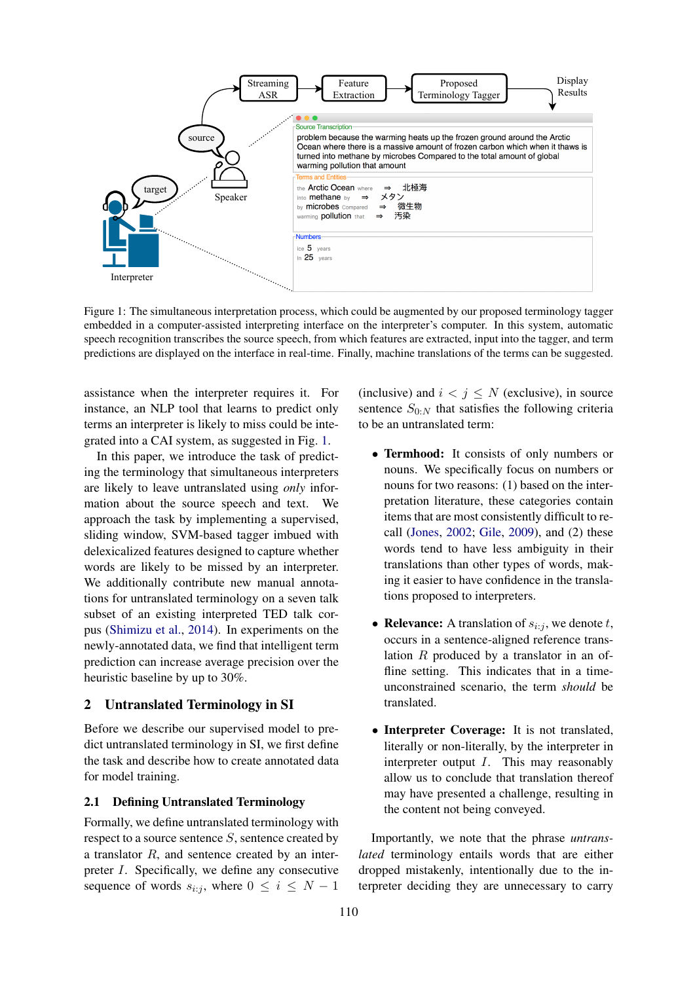<span id="page-1-0"></span>

Figure 1: The simultaneous interpretation process, which could be augmented by our proposed terminology tagger embedded in a computer-assisted interpreting interface on the interpreter's computer. In this system, automatic speech recognition transcribes the source speech, from which features are extracted, input into the tagger, and term predictions are displayed on the interface in real-time. Finally, machine translations of the terms can be suggested.

assistance when the interpreter requires it. For instance, an NLP tool that learns to predict only terms an interpreter is likely to miss could be integrated into a CAI system, as suggested in Fig. [1.](#page-1-0)

In this paper, we introduce the task of predicting the terminology that simultaneous interpreters are likely to leave untranslated using *only* information about the source speech and text. We approach the task by implementing a supervised, sliding window, SVM-based tagger imbued with delexicalized features designed to capture whether words are likely to be missed by an interpreter. We additionally contribute new manual annotations for untranslated terminology on a seven talk subset of an existing interpreted TED talk corpus [\(Shimizu et al.,](#page-9-0) [2014\)](#page-9-0). In experiments on the newly-annotated data, we find that intelligent term prediction can increase average precision over the heuristic baseline by up to 30%.

### <span id="page-1-1"></span>2 Untranslated Terminology in SI

Before we describe our supervised model to predict untranslated terminology in SI, we first define the task and describe how to create annotated data for model training.

## 2.1 Defining Untranslated Terminology

Formally, we define untranslated terminology with respect to a source sentence  $S$ , sentence created by a translator R, and sentence created by an interpreter I. Specifically, we define any consecutive sequence of words  $s_{i:j}$ , where  $0 \le i \le N - 1$ 

(inclusive) and  $i < j \leq N$  (exclusive), in source sentence  $S_{0:N}$  that satisfies the following criteria to be an untranslated term:

- Termhood: It consists of only numbers or nouns. We specifically focus on numbers or nouns for two reasons: (1) based on the interpretation literature, these categories contain items that are most consistently difficult to recall [\(Jones,](#page-8-9) [2002;](#page-8-9) [Gile,](#page-8-12) [2009\)](#page-8-12), and (2) these words tend to have less ambiguity in their translations than other types of words, making it easier to have confidence in the translations proposed to interpreters.
- Relevance: A translation of  $s_{i:j}$ , we denote t, occurs in a sentence-aligned reference translation R produced by a translator in an offline setting. This indicates that in a timeunconstrained scenario, the term *should* be translated.
- Interpreter Coverage: It is not translated, literally or non-literally, by the interpreter in interpreter output I. This may reasonably allow us to conclude that translation thereof may have presented a challenge, resulting in the content not being conveyed.

Importantly, we note that the phrase *untranslated* terminology entails words that are either dropped mistakenly, intentionally due to the interpreter deciding they are unnecessary to carry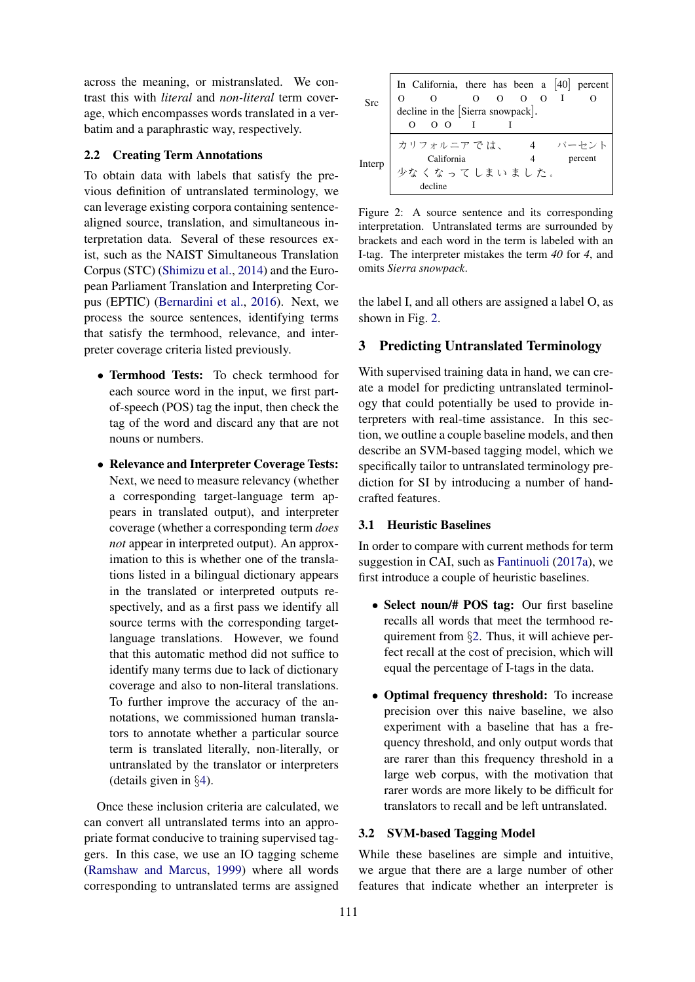across the meaning, or mistranslated. We contrast this with *literal* and *non-literal* term coverage, which encompasses words translated in a verbatim and a paraphrastic way, respectively.

### 2.2 Creating Term Annotations

To obtain data with labels that satisfy the previous definition of untranslated terminology, we can leverage existing corpora containing sentencealigned source, translation, and simultaneous interpretation data. Several of these resources exist, such as the NAIST Simultaneous Translation Corpus (STC) [\(Shimizu et al.,](#page-9-0) [2014\)](#page-9-0) and the European Parliament Translation and Interpreting Corpus (EPTIC) [\(Bernardini et al.,](#page-8-13) [2016\)](#page-8-13). Next, we process the source sentences, identifying terms that satisfy the termhood, relevance, and interpreter coverage criteria listed previously.

- Termhood Tests: To check termhood for each source word in the input, we first partof-speech (POS) tag the input, then check the tag of the word and discard any that are not nouns or numbers.
- Relevance and Interpreter Coverage Tests: Next, we need to measure relevancy (whether a corresponding target-language term appears in translated output), and interpreter coverage (whether a corresponding term *does not* appear in interpreted output). An approximation to this is whether one of the translations listed in a bilingual dictionary appears in the translated or interpreted outputs respectively, and as a first pass we identify all source terms with the corresponding targetlanguage translations. However, we found that this automatic method did not suffice to identify many terms due to lack of dictionary coverage and also to non-literal translations. To further improve the accuracy of the annotations, we commissioned human translators to annotate whether a particular source term is translated literally, non-literally, or untranslated by the translator or interpreters (details given in §[4\)](#page-4-0).

Once these inclusion criteria are calculated, we can convert all untranslated terms into an appropriate format conducive to training supervised taggers. In this case, we use an IO tagging scheme [\(Ramshaw and Marcus,](#page-9-3) [1999\)](#page-9-3) where all words corresponding to untranslated terms are assigned

<span id="page-2-0"></span>

| Src    | In California, there has been a $[40]$ percent<br>$\begin{bmatrix} 0 & 0 & 0 & 0 & 0 & 1 \\ 0 & 0 & 0 & 0 & 1 \\ 0 & 0 & 0 & 0 & 1 \end{bmatrix}$<br>$\Omega$ |  |  |  |
|--------|---------------------------------------------------------------------------------------------------------------------------------------------------------------|--|--|--|
| Interp | カリフォルニアでは、 4 パーセント California 4 percent<br>少なくなってしまいました。<br>decline                                                                                           |  |  |  |

Figure 2: A source sentence and its corresponding interpretation. Untranslated terms are surrounded by brackets and each word in the term is labeled with an I-tag. The interpreter mistakes the term *40* for *4*, and omits *Sierra snowpack*.

the label I, and all others are assigned a label O, as shown in Fig. [2.](#page-2-0)

### 3 Predicting Untranslated Terminology

With supervised training data in hand, we can create a model for predicting untranslated terminology that could potentially be used to provide interpreters with real-time assistance. In this section, we outline a couple baseline models, and then describe an SVM-based tagging model, which we specifically tailor to untranslated terminology prediction for SI by introducing a number of handcrafted features.

#### 3.1 Heuristic Baselines

In order to compare with current methods for term suggestion in CAI, such as [Fantinuoli](#page-8-14) [\(2017a\)](#page-8-14), we first introduce a couple of heuristic baselines.

- Select noun/# POS tag: Our first baseline recalls all words that meet the termhood requirement from §[2.](#page-1-1) Thus, it will achieve perfect recall at the cost of precision, which will equal the percentage of I-tags in the data.
- Optimal frequency threshold: To increase precision over this naive baseline, we also experiment with a baseline that has a frequency threshold, and only output words that are rarer than this frequency threshold in a large web corpus, with the motivation that rarer words are more likely to be difficult for translators to recall and be left untranslated.

#### <span id="page-2-1"></span>3.2 SVM-based Tagging Model

While these baselines are simple and intuitive, we argue that there are a large number of other features that indicate whether an interpreter is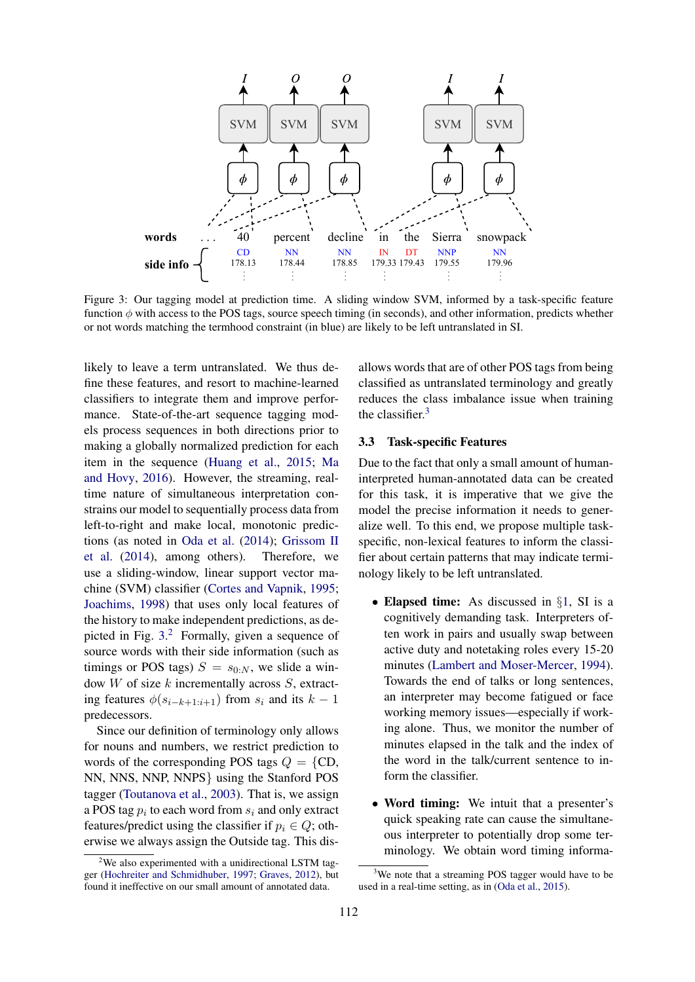<span id="page-3-0"></span>

Figure 3: Our tagging model at prediction time. A sliding window SVM, informed by a task-specific feature function  $\phi$  with access to the POS tags, source speech timing (in seconds), and other information, predicts whether or not words matching the termhood constraint (in blue) are likely to be left untranslated in SI.

likely to leave a term untranslated. We thus define these features, and resort to machine-learned classifiers to integrate them and improve performance. State-of-the-art sequence tagging models process sequences in both directions prior to making a globally normalized prediction for each item in the sequence [\(Huang et al.,](#page-8-15) [2015;](#page-8-15) [Ma](#page-8-16) [and Hovy,](#page-8-16) [2016\)](#page-8-16). However, the streaming, realtime nature of simultaneous interpretation constrains our model to sequentially process data from left-to-right and make local, monotonic predictions (as noted in [Oda et al.](#page-8-17) [\(2014\)](#page-8-17); [Grissom II](#page-8-18) [et al.](#page-8-18) [\(2014\)](#page-8-18), among others). Therefore, we use a sliding-window, linear support vector machine (SVM) classifier [\(Cortes and Vapnik,](#page-8-19) [1995;](#page-8-19) [Joachims,](#page-8-20) [1998\)](#page-8-20) that uses only local features of the history to make independent predictions, as depicted in Fig. [3.](#page-3-0) [2](#page-3-1) Formally, given a sequence of source words with their side information (such as timings or POS tags)  $S = s_{0:N}$ , we slide a window  $W$  of size  $k$  incrementally across  $S$ , extracting features  $\phi(s_{i-k+1:i+1})$  from  $s_i$  and its  $k-1$ predecessors.

Since our definition of terminology only allows for nouns and numbers, we restrict prediction to words of the corresponding POS tags  $Q = \{CD,$ NN, NNS, NNP, NNPS} using the Stanford POS tagger [\(Toutanova et al.,](#page-9-4) [2003\)](#page-9-4). That is, we assign a POS tag  $p_i$  to each word from  $s_i$  and only extract features/predict using the classifier if  $p_i \in Q$ ; otherwise we always assign the Outside tag. This disallows words that are of other POS tags from being classified as untranslated terminology and greatly reduces the class imbalance issue when training the classifier.<sup>[3](#page-3-2)</sup>

## 3.3 Task-specific Features

Due to the fact that only a small amount of humaninterpreted human-annotated data can be created for this task, it is imperative that we give the model the precise information it needs to generalize well. To this end, we propose multiple taskspecific, non-lexical features to inform the classifier about certain patterns that may indicate terminology likely to be left untranslated.

- Elapsed time: As discussed in §[1,](#page-0-1) SI is a cognitively demanding task. Interpreters often work in pairs and usually swap between active duty and notetaking roles every 15-20 minutes [\(Lambert and Moser-Mercer,](#page-8-2) [1994\)](#page-8-2). Towards the end of talks or long sentences, an interpreter may become fatigued or face working memory issues—especially if working alone. Thus, we monitor the number of minutes elapsed in the talk and the index of the word in the talk/current sentence to inform the classifier.
- Word timing: We intuit that a presenter's quick speaking rate can cause the simultaneous interpreter to potentially drop some terminology. We obtain word timing informa-

<span id="page-3-1"></span> $2$ We also experimented with a unidirectional LSTM tagger [\(Hochreiter and Schmidhuber,](#page-8-21) [1997;](#page-8-21) [Graves,](#page-8-22) [2012\)](#page-8-22), but found it ineffective on our small amount of annotated data.

<span id="page-3-2"></span> $3$ We note that a streaming POS tagger would have to be used in a real-time setting, as in [\(Oda et al.,](#page-9-5) [2015\)](#page-9-5).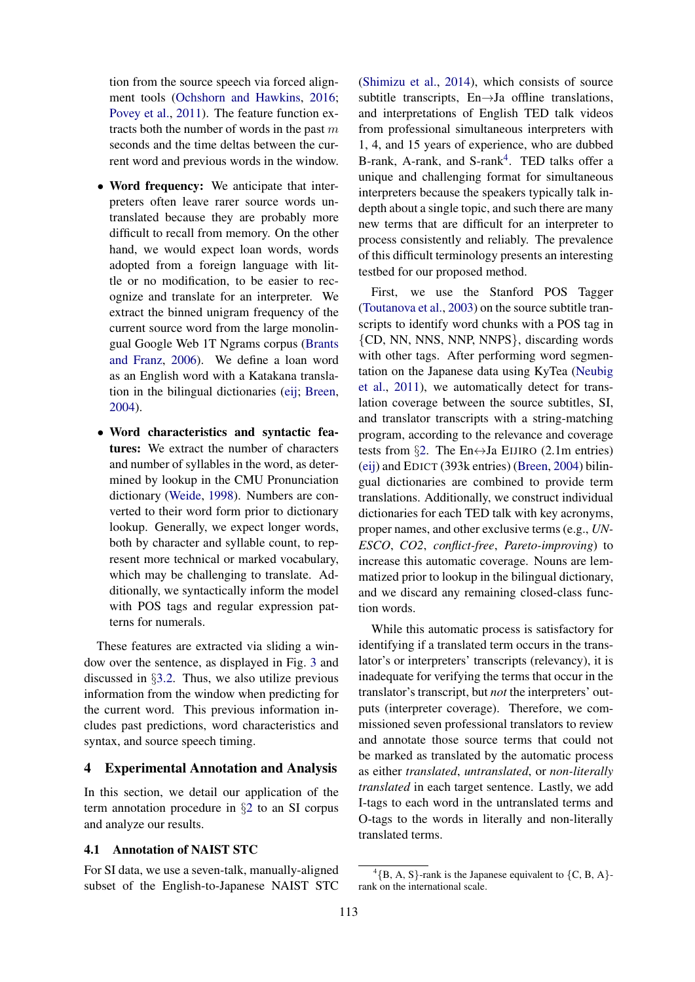tion from the source speech via forced alignment tools [\(Ochshorn and Hawkins,](#page-8-23) [2016;](#page-8-23) [Povey et al.,](#page-9-6) [2011\)](#page-9-6). The feature function extracts both the number of words in the past  $m$ seconds and the time deltas between the current word and previous words in the window.

- Word frequency: We anticipate that interpreters often leave rarer source words untranslated because they are probably more difficult to recall from memory. On the other hand, we would expect loan words, words adopted from a foreign language with little or no modification, to be easier to recognize and translate for an interpreter. We extract the binned unigram frequency of the current source word from the large monolingual Google Web 1T Ngrams corpus [\(Brants](#page-8-24) [and Franz,](#page-8-24) [2006\)](#page-8-24). We define a loan word as an English word with a Katakana translation in the bilingual dictionaries [\(eij;](#page-7-1) [Breen,](#page-8-25) [2004\)](#page-8-25).
- Word characteristics and syntactic features: We extract the number of characters and number of syllables in the word, as determined by lookup in the CMU Pronunciation dictionary [\(Weide,](#page-9-7) [1998\)](#page-9-7). Numbers are converted to their word form prior to dictionary lookup. Generally, we expect longer words, both by character and syllable count, to represent more technical or marked vocabulary, which may be challenging to translate. Additionally, we syntactically inform the model with POS tags and regular expression patterns for numerals.

These features are extracted via sliding a window over the sentence, as displayed in Fig. [3](#page-3-0) and discussed in §[3.2.](#page-2-1) Thus, we also utilize previous information from the window when predicting for the current word. This previous information includes past predictions, word characteristics and syntax, and source speech timing.

### <span id="page-4-0"></span>4 Experimental Annotation and Analysis

In this section, we detail our application of the term annotation procedure in §[2](#page-1-1) to an SI corpus and analyze our results.

## 4.1 Annotation of NAIST STC

For SI data, we use a seven-talk, manually-aligned subset of the English-to-Japanese NAIST STC

[\(Shimizu et al.,](#page-9-0) [2014\)](#page-9-0), which consists of source subtitle transcripts, En→Ja offline translations, and interpretations of English TED talk videos from professional simultaneous interpreters with 1, 4, and 15 years of experience, who are dubbed B-rank, A-rank, and S-rank<sup>[4](#page-4-1)</sup>. TED talks offer a unique and challenging format for simultaneous interpreters because the speakers typically talk indepth about a single topic, and such there are many new terms that are difficult for an interpreter to process consistently and reliably. The prevalence of this difficult terminology presents an interesting testbed for our proposed method.

First, we use the Stanford POS Tagger [\(Toutanova et al.,](#page-9-4) [2003\)](#page-9-4) on the source subtitle transcripts to identify word chunks with a POS tag in {CD, NN, NNS, NNP, NNPS}, discarding words with other tags. After performing word segmentation on the Japanese data using KyTea [\(Neubig](#page-8-26) [et al.,](#page-8-26) [2011\)](#page-8-26), we automatically detect for translation coverage between the source subtitles, SI, and translator transcripts with a string-matching program, according to the relevance and coverage tests from §[2.](#page-1-1) The En $\leftrightarrow$ Ja EIJIRO (2.1m entries) [\(eij\)](#page-7-1) and EDICT (393k entries) [\(Breen,](#page-8-25) [2004\)](#page-8-25) bilingual dictionaries are combined to provide term translations. Additionally, we construct individual dictionaries for each TED talk with key acronyms, proper names, and other exclusive terms (e.g., *UN-ESCO*, *CO2*, *conflict-free*, *Pareto-improving*) to increase this automatic coverage. Nouns are lemmatized prior to lookup in the bilingual dictionary, and we discard any remaining closed-class function words.

While this automatic process is satisfactory for identifying if a translated term occurs in the translator's or interpreters' transcripts (relevancy), it is inadequate for verifying the terms that occur in the translator's transcript, but *not* the interpreters' outputs (interpreter coverage). Therefore, we commissioned seven professional translators to review and annotate those source terms that could not be marked as translated by the automatic process as either *translated*, *untranslated*, or *non-literally translated* in each target sentence. Lastly, we add I-tags to each word in the untranslated terms and O-tags to the words in literally and non-literally translated terms.

<span id="page-4-1"></span> ${}^{4}$ {B, A, S}-rank is the Japanese equivalent to {C, B, A}rank on the international scale.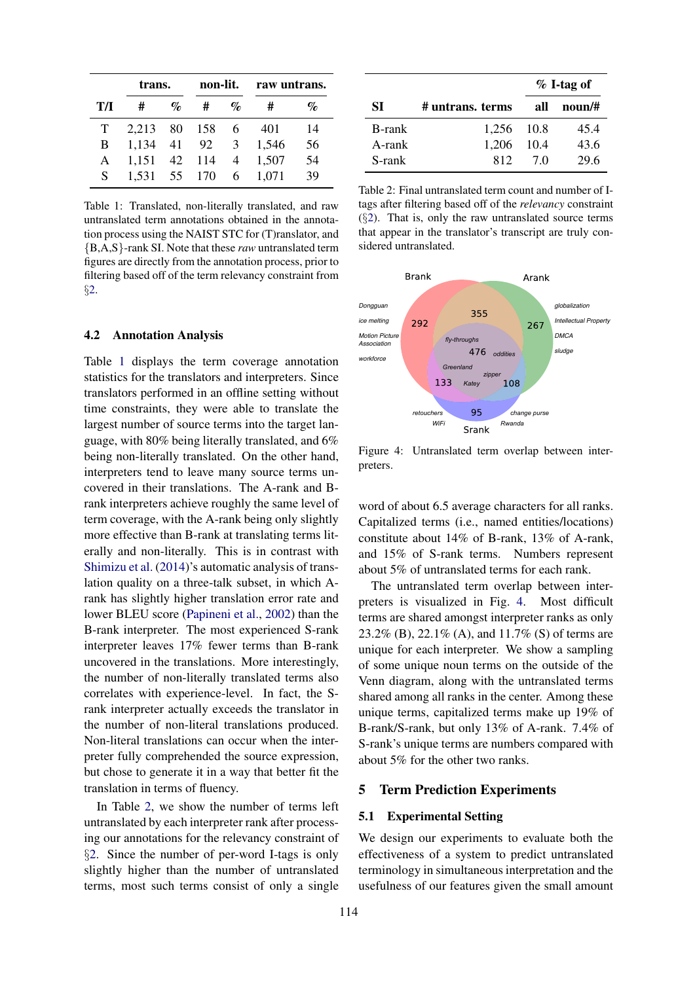<span id="page-5-0"></span>

|    | trans.       |                 | non-lit. |                 |       | raw untrans. |  |
|----|--------------|-----------------|----------|-----------------|-------|--------------|--|
| TЛ | #            | $\mathcal{O}_0$ | #        | $\mathcal{Q}_0$ | #     | %            |  |
| T. | 2,213        |                 | 80 158   | -6              | 401   | 14           |  |
| B  | 1,134        | 41              | 92       | 3               | 1,546 | 56           |  |
| A  | 1,151        | 42              | 114      | $\overline{4}$  | 1,507 | 54           |  |
| S  | 1,531 55 170 |                 |          | 6.              | 1,071 | 39           |  |

Table 1: Translated, non-literally translated, and raw untranslated term annotations obtained in the annotation process using the NAIST STC for (T)ranslator, and {B,A,S}-rank SI. Note that these *raw* untranslated term figures are directly from the annotation process, prior to filtering based off of the term relevancy constraint from §[2.](#page-1-1)

#### 4.2 Annotation Analysis

Table [1](#page-5-0) displays the term coverage annotation statistics for the translators and interpreters. Since translators performed in an offline setting without time constraints, they were able to translate the largest number of source terms into the target language, with 80% being literally translated, and 6% being non-literally translated. On the other hand, interpreters tend to leave many source terms uncovered in their translations. The A-rank and Brank interpreters achieve roughly the same level of term coverage, with the A-rank being only slightly more effective than B-rank at translating terms literally and non-literally. This is in contrast with [Shimizu et al.](#page-9-0) [\(2014\)](#page-9-0)'s automatic analysis of translation quality on a three-talk subset, in which Arank has slightly higher translation error rate and lower BLEU score [\(Papineni et al.,](#page-9-8) [2002\)](#page-9-8) than the B-rank interpreter. The most experienced S-rank interpreter leaves 17% fewer terms than B-rank uncovered in the translations. More interestingly, the number of non-literally translated terms also correlates with experience-level. In fact, the Srank interpreter actually exceeds the translator in the number of non-literal translations produced. Non-literal translations can occur when the interpreter fully comprehended the source expression, but chose to generate it in a way that better fit the translation in terms of fluency.

In Table [2,](#page-5-1) we show the number of terms left untranslated by each interpreter rank after processing our annotations for the relevancy constraint of §[2.](#page-1-1) Since the number of per-word I-tags is only slightly higher than the number of untranslated terms, most such terms consist of only a single

<span id="page-5-1"></span>

|        |                  | $% I-tag of$ |        |  |
|--------|------------------|--------------|--------|--|
| SІ     | # untrans. terms | all          | noun/# |  |
| B-rank | 1,256 10.8       |              | 45.4   |  |
| A-rank | 1,206            | 10.4         | 43.6   |  |
| S-rank | 812              | 70           | 29.6   |  |

Table 2: Final untranslated term count and number of Itags after filtering based off of the *relevancy* constraint  $(\S2)$  $(\S2)$ . That is, only the raw untranslated source terms that appear in the translator's transcript are truly considered untranslated.

<span id="page-5-2"></span>

Figure 4: Untranslated term overlap between interpreters.

word of about 6.5 average characters for all ranks. Capitalized terms (i.e., named entities/locations) constitute about 14% of B-rank, 13% of A-rank, and 15% of S-rank terms. Numbers represent about 5% of untranslated terms for each rank.

The untranslated term overlap between interpreters is visualized in Fig. [4.](#page-5-2) Most difficult terms are shared amongst interpreter ranks as only 23.2% (B), 22.1% (A), and 11.7% (S) of terms are unique for each interpreter. We show a sampling of some unique noun terms on the outside of the Venn diagram, along with the untranslated terms shared among all ranks in the center. Among these unique terms, capitalized terms make up 19% of B-rank/S-rank, but only 13% of A-rank. 7.4% of S-rank's unique terms are numbers compared with about 5% for the other two ranks.

#### 5 Term Prediction Experiments

#### 5.1 Experimental Setting

We design our experiments to evaluate both the effectiveness of a system to predict untranslated terminology in simultaneous interpretation and the usefulness of our features given the small amount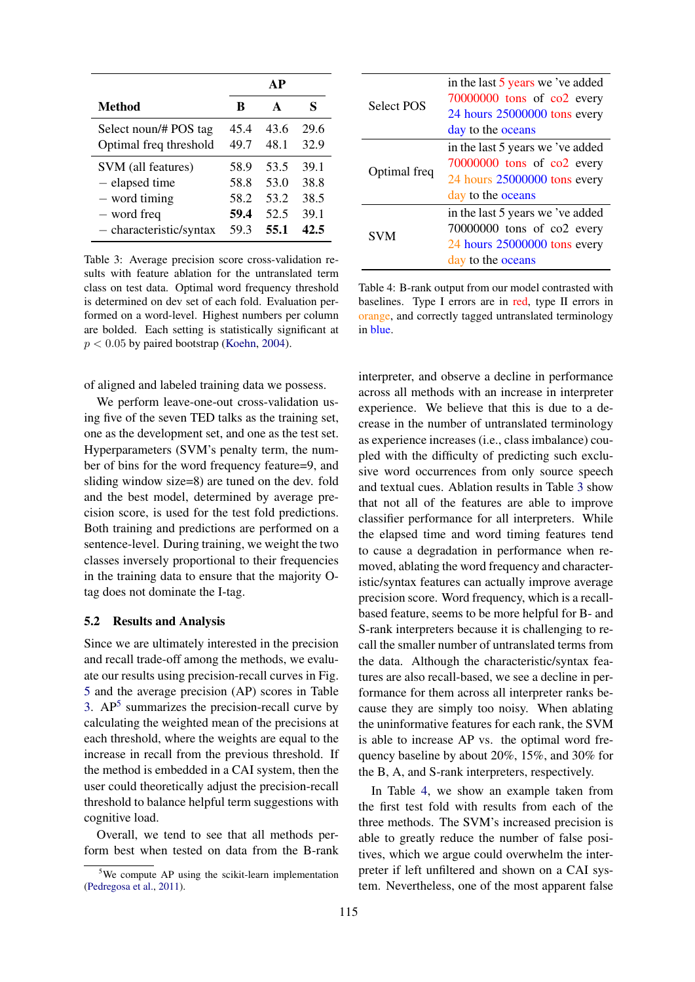<span id="page-6-0"></span>

|                         |      | АP   |      |
|-------------------------|------|------|------|
| <b>Method</b>           | B    | A    | S    |
| Select noun/# POS tag   | 45.4 | 43.6 | 29.6 |
| Optimal freq threshold  | 49.7 | 48.1 | 32.9 |
| SVM (all features)      | 58.9 | 53.5 | 39.1 |
| - elapsed time          | 58.8 | 53.0 | 38.8 |
| - word timing           | 58.2 | 53.2 | 38.5 |
| - word freq             | 59.4 | 52.5 | 39.1 |
| - characteristic/syntax | 59.3 | 55.1 | 42.5 |

Table 3: Average precision score cross-validation results with feature ablation for the untranslated term class on test data. Optimal word frequency threshold is determined on dev set of each fold. Evaluation performed on a word-level. Highest numbers per column are bolded. Each setting is statistically significant at  $p < 0.05$  by paired bootstrap [\(Koehn,](#page-8-27) [2004\)](#page-8-27).

of aligned and labeled training data we possess.

We perform leave-one-out cross-validation using five of the seven TED talks as the training set, one as the development set, and one as the test set. Hyperparameters (SVM's penalty term, the number of bins for the word frequency feature=9, and sliding window size=8) are tuned on the dev. fold and the best model, determined by average precision score, is used for the test fold predictions. Both training and predictions are performed on a sentence-level. During training, we weight the two classes inversely proportional to their frequencies in the training data to ensure that the majority Otag does not dominate the I-tag.

### 5.2 Results and Analysis

Since we are ultimately interested in the precision and recall trade-off among the methods, we evaluate our results using precision-recall curves in Fig. [5](#page-7-2) and the average precision (AP) scores in Table [3.](#page-6-0)  $AP<sup>5</sup>$  $AP<sup>5</sup>$  $AP<sup>5</sup>$  summarizes the precision-recall curve by calculating the weighted mean of the precisions at each threshold, where the weights are equal to the increase in recall from the previous threshold. If the method is embedded in a CAI system, then the user could theoretically adjust the precision-recall threshold to balance helpful term suggestions with cognitive load.

Overall, we tend to see that all methods perform best when tested on data from the B-rank

<span id="page-6-2"></span>

| <b>Select POS</b> | in the last 5 years we 've added<br>70000000 tons of co2 every |
|-------------------|----------------------------------------------------------------|
|                   | 24 hours 25000000 tons every                                   |
|                   | day to the oceans                                              |
| Optimal freq      | in the last 5 years we 've added                               |
|                   | $70000000$ tons of $co2$ every                                 |
|                   | 24 hours 25000000 tons every                                   |
|                   | day to the oceans                                              |
| <b>SVM</b>        | in the last 5 years we 've added                               |
|                   | 70000000 tons of co2 every                                     |
|                   | 24 hours 25000000 tons every                                   |
|                   | day to the oceans                                              |

Table 4: B-rank output from our model contrasted with baselines. Type I errors are in red, type II errors in orange, and correctly tagged untranslated terminology in blue.

interpreter, and observe a decline in performance across all methods with an increase in interpreter experience. We believe that this is due to a decrease in the number of untranslated terminology as experience increases (i.e., class imbalance) coupled with the difficulty of predicting such exclusive word occurrences from only source speech and textual cues. Ablation results in Table [3](#page-6-0) show that not all of the features are able to improve classifier performance for all interpreters. While the elapsed time and word timing features tend to cause a degradation in performance when removed, ablating the word frequency and characteristic/syntax features can actually improve average precision score. Word frequency, which is a recallbased feature, seems to be more helpful for B- and S-rank interpreters because it is challenging to recall the smaller number of untranslated terms from the data. Although the characteristic/syntax features are also recall-based, we see a decline in performance for them across all interpreter ranks because they are simply too noisy. When ablating the uninformative features for each rank, the SVM is able to increase AP vs. the optimal word frequency baseline by about 20%, 15%, and 30% for the B, A, and S-rank interpreters, respectively.

In Table [4,](#page-6-2) we show an example taken from the first test fold with results from each of the three methods. The SVM's increased precision is able to greatly reduce the number of false positives, which we argue could overwhelm the interpreter if left unfiltered and shown on a CAI system. Nevertheless, one of the most apparent false

<span id="page-6-1"></span><sup>5</sup>We compute AP using the scikit-learn implementation [\(Pedregosa et al.,](#page-9-9) [2011\)](#page-9-9).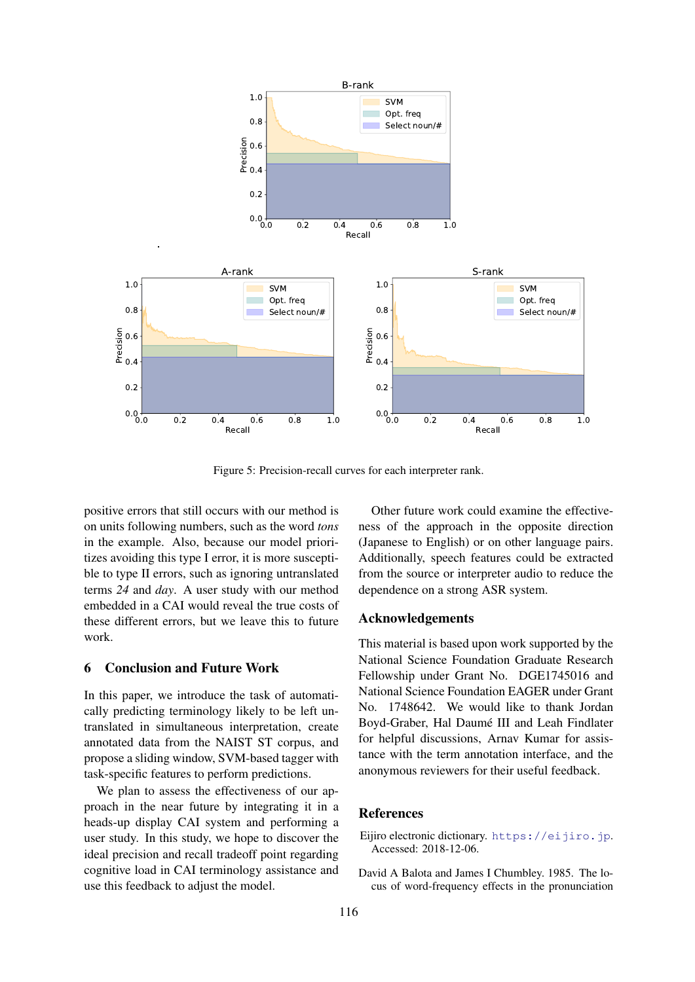<span id="page-7-2"></span>

Figure 5: Precision-recall curves for each interpreter rank.

positive errors that still occurs with our method is on units following numbers, such as the word *tons* in the example. Also, because our model prioritizes avoiding this type I error, it is more susceptible to type II errors, such as ignoring untranslated terms *24* and *day*. A user study with our method embedded in a CAI would reveal the true costs of these different errors, but we leave this to future work.

#### 6 Conclusion and Future Work

In this paper, we introduce the task of automatically predicting terminology likely to be left untranslated in simultaneous interpretation, create annotated data from the NAIST ST corpus, and propose a sliding window, SVM-based tagger with task-specific features to perform predictions.

We plan to assess the effectiveness of our approach in the near future by integrating it in a heads-up display CAI system and performing a user study. In this study, we hope to discover the ideal precision and recall tradeoff point regarding cognitive load in CAI terminology assistance and use this feedback to adjust the model.

Other future work could examine the effectiveness of the approach in the opposite direction (Japanese to English) or on other language pairs. Additionally, speech features could be extracted from the source or interpreter audio to reduce the dependence on a strong ASR system.

#### Acknowledgements

This material is based upon work supported by the National Science Foundation Graduate Research Fellowship under Grant No. DGE1745016 and National Science Foundation EAGER under Grant No. 1748642. We would like to thank Jordan Boyd-Graber, Hal Daumé III and Leah Findlater for helpful discussions, Arnav Kumar for assistance with the term annotation interface, and the anonymous reviewers for their useful feedback.

#### References

- <span id="page-7-1"></span>Eijiro electronic dictionary. <https://eijiro.jp>. Accessed: 2018-12-06.
- <span id="page-7-0"></span>David A Balota and James I Chumbley. 1985. The locus of word-frequency effects in the pronunciation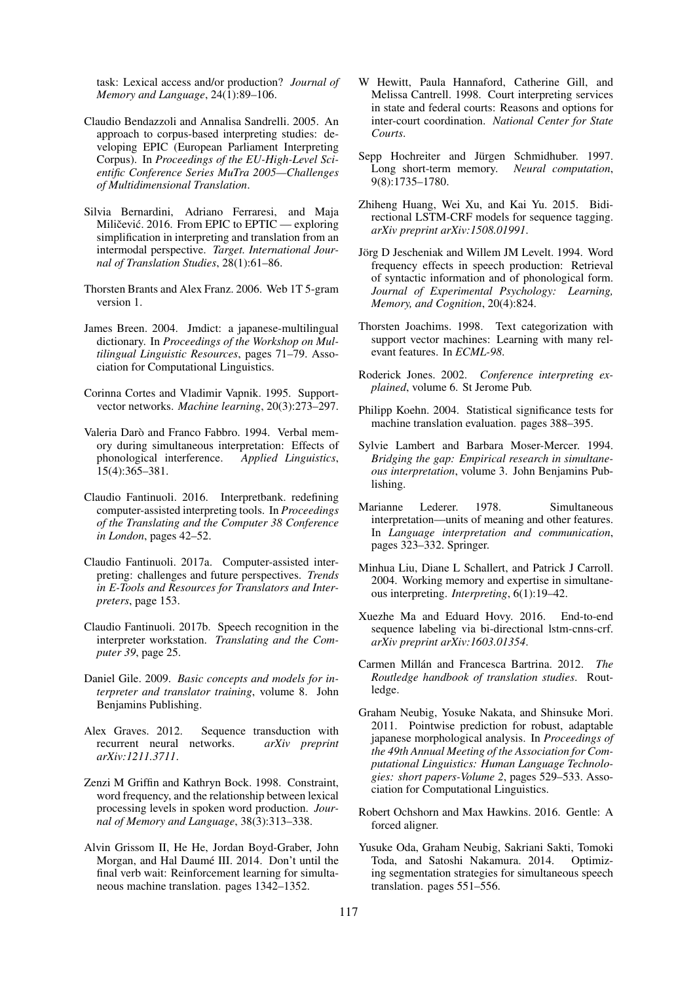task: Lexical access and/or production? *Journal of Memory and Language*, 24(1):89–106.

- <span id="page-8-0"></span>Claudio Bendazzoli and Annalisa Sandrelli. 2005. An approach to corpus-based interpreting studies: developing EPIC (European Parliament Interpreting Corpus). In *Proceedings of the EU-High-Level Scientific Conference Series MuTra 2005—Challenges of Multidimensional Translation*.
- <span id="page-8-13"></span>Silvia Bernardini, Adriano Ferraresi, and Maja Miličević. 2016. From EPIC to  $EPTIC$  — exploring simplification in interpreting and translation from an intermodal perspective. *Target. International Journal of Translation Studies*, 28(1):61–86.
- <span id="page-8-24"></span>Thorsten Brants and Alex Franz. 2006. Web 1T 5-gram version 1.
- <span id="page-8-25"></span>James Breen. 2004. Jmdict: a japanese-multilingual dictionary. In *Proceedings of the Workshop on Multilingual Linguistic Resources*, pages 71–79. Association for Computational Linguistics.
- <span id="page-8-19"></span>Corinna Cortes and Vladimir Vapnik. 1995. Supportvector networks. *Machine learning*, 20(3):273–297.
- <span id="page-8-5"></span>Valeria Darò and Franco Fabbro. 1994. Verbal memory during simultaneous interpretation: Effects of phonological interference. *Applied Linguistics*, 15(4):365–381.
- <span id="page-8-10"></span>Claudio Fantinuoli. 2016. Interpretbank. redefining computer-assisted interpreting tools. In *Proceedings of the Translating and the Computer 38 Conference in London*, pages 42–52.
- <span id="page-8-14"></span>Claudio Fantinuoli. 2017a. Computer-assisted interpreting: challenges and future perspectives. *Trends in E-Tools and Resources for Translators and Interpreters*, page 153.
- <span id="page-8-11"></span>Claudio Fantinuoli. 2017b. Speech recognition in the interpreter workstation. *Translating and the Computer 39*, page 25.
- <span id="page-8-12"></span>Daniel Gile. 2009. *Basic concepts and models for interpreter and translator training*, volume 8. John Benjamins Publishing.
- <span id="page-8-22"></span>Alex Graves. 2012. Sequence transduction with recurrent neural networks. *arXiv preprint arXiv:1211.3711*.
- <span id="page-8-7"></span>Zenzi M Griffin and Kathryn Bock. 1998. Constraint, word frequency, and the relationship between lexical processing levels in spoken word production. *Journal of Memory and Language*, 38(3):313–338.
- <span id="page-8-18"></span>Alvin Grissom II, He He, Jordan Boyd-Graber, John Morgan, and Hal Daumé III. 2014. Don't until the final verb wait: Reinforcement learning for simultaneous machine translation. pages 1342–1352.
- <span id="page-8-1"></span>W Hewitt, Paula Hannaford, Catherine Gill, and Melissa Cantrell. 1998. Court interpreting services in state and federal courts: Reasons and options for inter-court coordination. *National Center for State Courts*.
- <span id="page-8-21"></span>Sepp Hochreiter and Jürgen Schmidhuber. 1997. Long short-term memory. *Neural computation*, 9(8):1735–1780.
- <span id="page-8-15"></span>Zhiheng Huang, Wei Xu, and Kai Yu. 2015. Bidirectional LSTM-CRF models for sequence tagging. *arXiv preprint arXiv:1508.01991*.
- <span id="page-8-6"></span>Jörg D Jescheniak and Willem JM Levelt. 1994. Word frequency effects in speech production: Retrieval of syntactic information and of phonological form. *Journal of Experimental Psychology: Learning, Memory, and Cognition*, 20(4):824.
- <span id="page-8-20"></span>Thorsten Joachims. 1998. Text categorization with support vector machines: Learning with many relevant features. In *ECML-98*.
- <span id="page-8-9"></span>Roderick Jones. 2002. *Conference interpreting explained*, volume 6. St Jerome Pub.
- <span id="page-8-27"></span>Philipp Koehn. 2004. Statistical significance tests for machine translation evaluation. pages 388–395.
- <span id="page-8-2"></span>Sylvie Lambert and Barbara Moser-Mercer. 1994. *Bridging the gap: Empirical research in simultaneous interpretation*, volume 3. John Benjamins Publishing.
- <span id="page-8-4"></span>Marianne Lederer. 1978. Simultaneous interpretation—units of meaning and other features. In *Language interpretation and communication*, pages 323–332. Springer.
- <span id="page-8-3"></span>Minhua Liu, Diane L Schallert, and Patrick J Carroll. 2004. Working memory and expertise in simultaneous interpreting. *Interpreting*, 6(1):19–42.
- <span id="page-8-16"></span>Xuezhe Ma and Eduard Hovy. 2016. End-to-end sequence labeling via bi-directional lstm-cnns-crf. *arXiv preprint arXiv:1603.01354*.
- <span id="page-8-8"></span>Carmen Millán and Francesca Bartrina. 2012. *The Routledge handbook of translation studies*. Routledge.
- <span id="page-8-26"></span>Graham Neubig, Yosuke Nakata, and Shinsuke Mori. 2011. Pointwise prediction for robust, adaptable japanese morphological analysis. In *Proceedings of the 49th Annual Meeting of the Association for Computational Linguistics: Human Language Technologies: short papers-Volume 2*, pages 529–533. Association for Computational Linguistics.
- <span id="page-8-23"></span>Robert Ochshorn and Max Hawkins. 2016. Gentle: A forced aligner.
- <span id="page-8-17"></span>Yusuke Oda, Graham Neubig, Sakriani Sakti, Tomoki Toda, and Satoshi Nakamura. 2014. Optimizing segmentation strategies for simultaneous speech translation. pages 551–556.